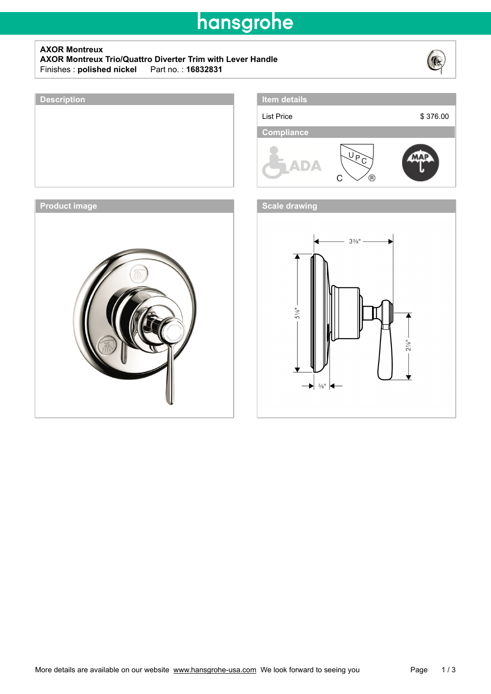# hansgrohe

### **AXOR Montreux**

**AXOR Montreux Trio/Quattro Diverter Trim with Lever Handle**  $Finishes:$  **polished nickel** 



# **Description Item details** List Price \$ 376.00- **Compliance** VP<br>  $\bigcap$  $\overline{\Theta}$ C **Product image** *CONDITERT CONDITERT INC.* **THE SCALE OF A SCALE DISTURBANCE OF A SCALE OF A SCALE OF A SCALE OF A SCALE OF A SCALE OF A SCALE OF A SCALE OF A SCALE OF A SCALE OF A SCALE OF A SCALE OF A SCALE OF A SCALE OF**  $3\frac{3}{8}$ "  $5\%$  $2^{7/8}$  $\blacktriangleright$   $\frac{5}{8}$ "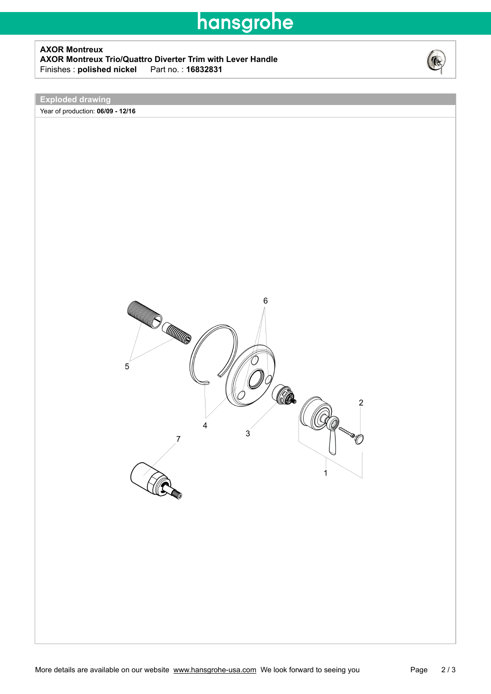### hansgrohe

#### **AXOR Montreux AXOR Montreux Trio/Quattro Diverter Trim with Lever Handle**  $Finishes:$  **polished nickel**



**Exploded drawing**

Year of production: **06/09 - 12/16**